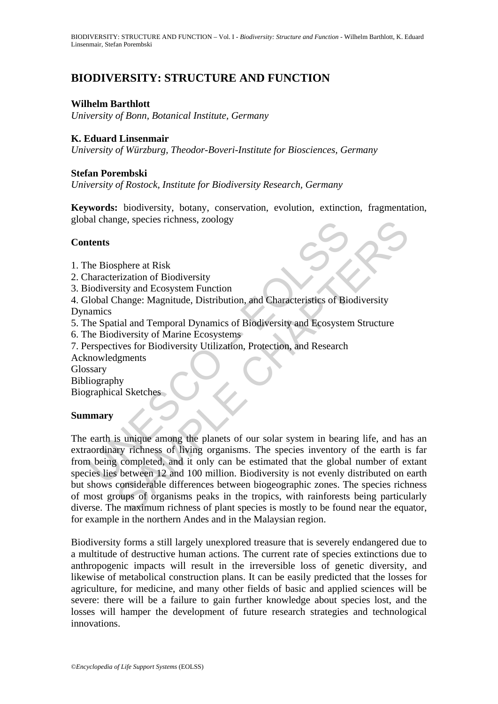# **BIODIVERSITY: STRUCTURE AND FUNCTION**

# **Wilhelm Barthlott**

*University of Bonn, Botanical Institute, Germany* 

# **K. Eduard Linsenmair**

*University of Würzburg, Theodor-Boveri-Institute for Biosciences, Germany* 

## **Stefan Porembski**

*University of Rostock, Institute for Biodiversity Research, Germany* 

**Keywords:** biodiversity, botany, conservation, evolution, extinction, fragmentation, global change, species richness, zoology

## **Contents**

- 1. The Biosphere at Risk
- 2. Characterization of Biodiversity
- 3. Biodiversity and Ecosystem Function
- 4. Global Change: Magnitude, Distribution, and Characteristics of Biodiversity Dynamics
- 5. The Spatial and Temporal Dynamics of Biodiversity and Ecosystem Structure
- 6. The Biodiversity of Marine Ecosystems
- 7. Perspectives for Biodiversity Utilization, Protection, and Research
- Acknowledgments

Glossary

Bibliography

Biographical Sketches

## **Summary**

The Biosphere at Risk<br>
the Biosphere at Risk<br>
haracterization of Biodiversity<br>
iolodiversity and Ecosystem Function<br>
iolodic Change: Magnitude, Distribution, and Characteristics of Biodiversity<br>
and Change: Magnitude, Dist Sphere at Risk<br>
Sphere at Risk<br>
Sphere at Risk<br>
Frization of Biodiversity<br>
Sity and Ecosystem Function<br>
Change: Magnitude, Distribution, and Characteristics of Biodiversity<br>
stial and Temporal Dynamics of Biodiversity and The earth is unique among the planets of our solar system in bearing life, and has an extraordinary richness of living organisms. The species inventory of the earth is far from being completed, and it only can be estimated that the global number of extant species lies between 12 and 100 million. Biodiversity is not evenly distributed on earth but shows considerable differences between biogeographic zones. The species richness of most groups of organisms peaks in the tropics, with rainforests being particularly diverse. The maximum richness of plant species is mostly to be found near the equator, for example in the northern Andes and in the Malaysian region.

Biodiversity forms a still largely unexplored treasure that is severely endangered due to a multitude of destructive human actions. The current rate of species extinctions due to anthropogenic impacts will result in the irreversible loss of genetic diversity, and likewise of metabolical construction plans. It can be easily predicted that the losses for agriculture, for medicine, and many other fields of basic and applied sciences will be severe: there will be a failure to gain further knowledge about species lost, and the losses will hamper the development of future research strategies and technological innovations.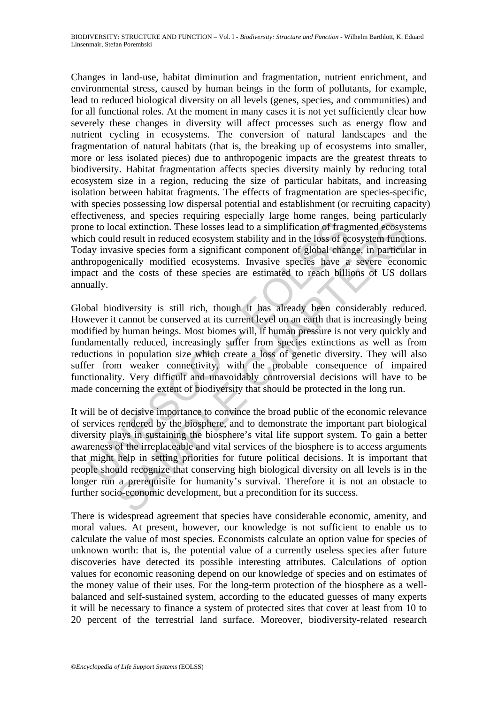Changes in land-use, habitat diminution and fragmentation, nutrient enrichment, and environmental stress, caused by human beings in the form of pollutants, for example, lead to reduced biological diversity on all levels (genes, species, and communities) and for all functional roles. At the moment in many cases it is not yet sufficiently clear how severely these changes in diversity will affect processes such as energy flow and nutrient cycling in ecosystems. The conversion of natural landscapes and the fragmentation of natural habitats (that is, the breaking up of ecosystems into smaller, more or less isolated pieces) due to anthropogenic impacts are the greatest threats to biodiversity. Habitat fragmentation affects species diversity mainly by reducing total ecosystem size in a region, reducing the size of particular habitats, and increasing isolation between habitat fragments. The effects of fragmentation are species-specific, with species possessing low dispersal potential and establishment (or recruiting capacity) effectiveness, and species requiring especially large home ranges, being particularly prone to local extinction. These losses lead to a simplification of fragmented ecosystems which could result in reduced ecosystem stability and in the loss of ecosystem functions. Today invasive species form a significant component of global change, in particular in anthropogenically modified ecosystems. Invasive species have a severe economic impact and the costs of these species are estimated to reach billions of US dollars annually.

the colored extinction. These losses lead to a simplification of frage<br>ch could result in reduced ecosystem stability and in the loss of ec<br>ay invasive species form a significant component of global chan<br>rropogenically mod and extinction. These losses lead to a simplification of fragmented ecosysts d result in reduced ecosystem stability and in the loss of ecosystem function exist of protocol change, in particular component of global change, Global biodiversity is still rich, though it has already been considerably reduced. However it cannot be conserved at its current level on an earth that is increasingly being modified by human beings. Most biomes will, if human pressure is not very quickly and fundamentally reduced, increasingly suffer from species extinctions as well as from reductions in population size which create a loss of genetic diversity. They will also suffer from weaker connectivity, with the probable consequence of impaired functionality. Very difficult and unavoidably controversial decisions will have to be made concerning the extent of biodiversity that should be protected in the long run.

It will be of decisive importance to convince the broad public of the economic relevance of services rendered by the biosphere, and to demonstrate the important part biological diversity plays in sustaining the biosphere's vital life support system. To gain a better awareness of the irreplaceable and vital services of the biosphere is to access arguments that might help in setting priorities for future political decisions. It is important that people should recognize that conserving high biological diversity on all levels is in the longer run a prerequisite for humanity's survival. Therefore it is not an obstacle to further socio-economic development, but a precondition for its success.

There is widespread agreement that species have considerable economic, amenity, and moral values. At present, however, our knowledge is not sufficient to enable us to calculate the value of most species. Economists calculate an option value for species of unknown worth: that is, the potential value of a currently useless species after future discoveries have detected its possible interesting attributes. Calculations of option values for economic reasoning depend on our knowledge of species and on estimates of the money value of their uses. For the long-term protection of the biosphere as a wellbalanced and self-sustained system, according to the educated guesses of many experts it will be necessary to finance a system of protected sites that cover at least from 10 to 20 percent of the terrestrial land surface. Moreover, biodiversity-related research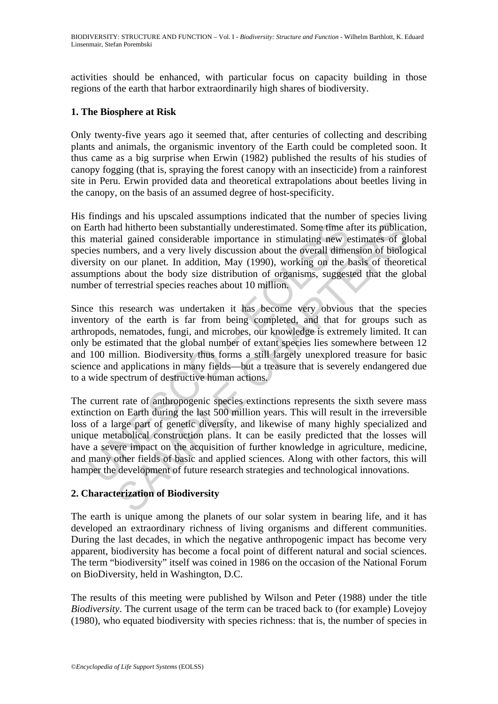activities should be enhanced, with particular focus on capacity building in those regions of the earth that harbor extraordinarily high shares of biodiversity.

# **1. The Biosphere at Risk**

Only twenty-five years ago it seemed that, after centuries of collecting and describing plants and animals, the organismic inventory of the Earth could be completed soon. It thus came as a big surprise when Erwin (1982) published the results of his studies of canopy fogging (that is, spraying the forest canopy with an insecticide) from a rainforest site in Peru. Erwin provided data and theoretical extrapolations about beetles living in the canopy, on the basis of an assumed degree of host-specificity.

His findings and his upscaled assumptions indicated that the number of species living on Earth had hitherto been substantially underestimated. Some time after its publication, this material gained considerable importance in stimulating new estimates of global species numbers, and a very lively discussion about the overall dimension of biological diversity on our planet. In addition, May (1990), working on the basis of theoretical assumptions about the body size distribution of organisms, suggested that the global number of terrestrial species reaches about 10 million.

Earth had hitherto been substantially underestimated. Some time a material gained considerable importance in stimulating new e<br>ites numbers, and a very lively discussion about the overall dime<br>rsity on our planet. In addit sen and a very lively discussion about the mean of a very sensition of the mean of the proton of the product and pained considerable importance in stimulating new estimates of glubical gained considerable importance in sti Since this research was undertaken it has become very obvious that the species inventory of the earth is far from being completed, and that for groups such as arthropods, nematodes, fungi, and microbes, our knowledge is extremely limited. It can only be estimated that the global number of extant species lies somewhere between 12 and 100 million. Biodiversity thus forms a still largely unexplored treasure for basic science and applications in many fields—but a treasure that is severely endangered due to a wide spectrum of destructive human actions.

The current rate of anthropogenic species extinctions represents the sixth severe mass extinction on Earth during the last 500 million years. This will result in the irreversible loss of a large part of genetic diversity, and likewise of many highly specialized and unique metabolical construction plans. It can be easily predicted that the losses will have a severe impact on the acquisition of further knowledge in agriculture, medicine, and many other fields of basic and applied sciences. Along with other factors, this will hamper the development of future research strategies and technological innovations.

# **2. Characterization of Biodiversity**

The earth is unique among the planets of our solar system in bearing life, and it has developed an extraordinary richness of living organisms and different communities. During the last decades, in which the negative anthropogenic impact has become very apparent, biodiversity has become a focal point of different natural and social sciences. The term "biodiversity" itself was coined in 1986 on the occasion of the National Forum on BioDiversity, held in Washington, D.C.

The results of this meeting were published by Wilson and Peter (1988) under the title *Biodiversity*. The current usage of the term can be traced back to (for example) Lovejoy (1980), who equated biodiversity with species richness: that is, the number of species in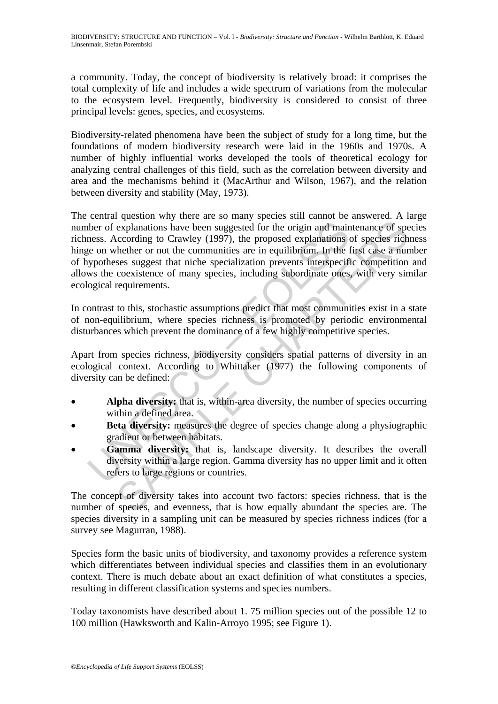a community. Today, the concept of biodiversity is relatively broad: it comprises the total complexity of life and includes a wide spectrum of variations from the molecular to the ecosystem level. Frequently, biodiversity is considered to consist of three principal levels: genes, species, and ecosystems.

Biodiversity-related phenomena have been the subject of study for a long time, but the foundations of modern biodiversity research were laid in the 1960s and 1970s. A number of highly influential works developed the tools of theoretical ecology for analyzing central challenges of this field, such as the correlation between diversity and area and the mechanisms behind it (MacArthur and Wilson, 1967), and the relation between diversity and stability (May, 1973).

there of explanations have been suggested for the origin and main<br>mess. According to Crawley (1997), the proposed explanations of<br>e on whether or not the communities are in equilibrium. In the f<br>ypotheses suggest that nich explanations have been suggested for the origin and maintenance of speculations have been suggested for the origin and maintenance of species rich the<br>lecording to Crawley (1997), the proposed explanations of species rich<br> The central question why there are so many species still cannot be answered. A large number of explanations have been suggested for the origin and maintenance of species richness. According to Crawley (1997), the proposed explanations of species richness hinge on whether or not the communities are in equilibrium. In the first case a number of hypotheses suggest that niche specialization prevents interspecific competition and allows the coexistence of many species, including subordinate ones, with very similar ecological requirements.

In contrast to this, stochastic assumptions predict that most communities exist in a state of non-equilibrium, where species richness is promoted by periodic environmental disturbances which prevent the dominance of a few highly competitive species.

Apart from species richness, biodiversity considers spatial patterns of diversity in an ecological context. According to Whittaker (1977) the following components of diversity can be defined:

- Alpha diversity: that is, within-area diversity, the number of species occurring within a defined area.
- **Beta diversity:** measures the degree of species change along a physiographic gradient or between habitats.
- Gamma diversity: that is, landscape diversity. It describes the overall diversity within a large region. Gamma diversity has no upper limit and it often refers to large regions or countries.

The concept of diversity takes into account two factors: species richness, that is the number of species, and evenness, that is how equally abundant the species are. The species diversity in a sampling unit can be measured by species richness indices (for a survey see Magurran, 1988).

Species form the basic units of biodiversity, and taxonomy provides a reference system which differentiates between individual species and classifies them in an evolutionary context. There is much debate about an exact definition of what constitutes a species, resulting in different classification systems and species numbers.

Today taxonomists have described about 1. 75 million species out of the possible 12 to 100 million (Hawksworth and Kalin-Arroyo 1995; see Figure 1).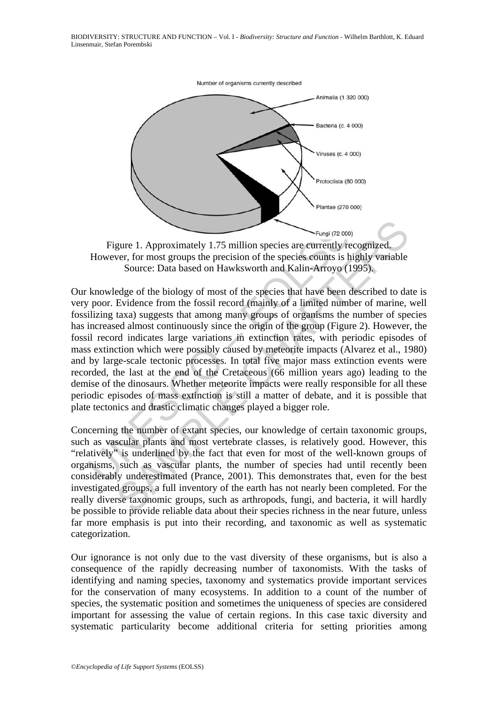

However, for most groups the precision of the species counts is highly variable Source: Data based on Hawksworth and Kalin-Arroyo (1995).

Figure 1. Approximately 1.75 million species are currently re<br>However, for most groups the precision of the species counts is b<br>Source: Data based on Hawksworth and Kalin-Arroyo (1<br>knowledge of the biology of most of the s Example 1. Approximately 1.75 million species are currently recognized.<br>Ver, for most groups the precision of the species counts is highly variable Source: Data based on Hawksworth and Kalin-Arroyo (1995).<br>
Edge of the bi Our knowledge of the biology of most of the species that have been described to date is very poor. Evidence from the fossil record (mainly of a limited number of marine, well fossilizing taxa) suggests that among many groups of organisms the number of species has increased almost continuously since the origin of the group (Figure 2). However, the fossil record indicates large variations in extinction rates, with periodic episodes of mass extinction which were possibly caused by meteorite impacts (Alvarez et al., 1980) and by large-scale tectonic processes. In total five major mass extinction events were recorded, the last at the end of the Cretaceous (66 million years ago) leading to the demise of the dinosaurs. Whether meteorite impacts were really responsible for all these periodic episodes of mass extinction is still a matter of debate, and it is possible that plate tectonics and drastic climatic changes played a bigger role.

Concerning the number of extant species, our knowledge of certain taxonomic groups, such as vascular plants and most vertebrate classes, is relatively good. However, this "relatively" is underlined by the fact that even for most of the well-known groups of organisms, such as vascular plants, the number of species had until recently been considerably underestimated (Prance, 2001). This demonstrates that, even for the best investigated groups, a full inventory of the earth has not nearly been completed. For the really diverse taxonomic groups, such as arthropods, fungi, and bacteria, it will hardly be possible to provide reliable data about their species richness in the near future, unless far more emphasis is put into their recording, and taxonomic as well as systematic categorization.

Our ignorance is not only due to the vast diversity of these organisms, but is also a consequence of the rapidly decreasing number of taxonomists. With the tasks of identifying and naming species, taxonomy and systematics provide important services for the conservation of many ecosystems. In addition to a count of the number of species, the systematic position and sometimes the uniqueness of species are considered important for assessing the value of certain regions. In this case taxic diversity and systematic particularity become additional criteria for setting priorities among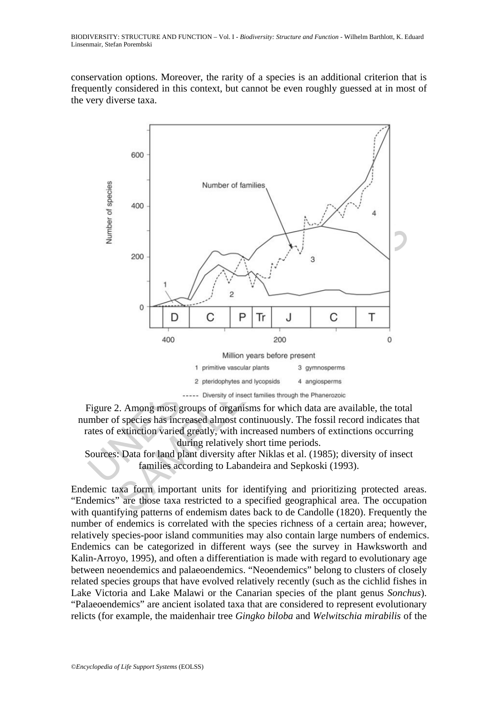conservation options. Moreover, the rarity of a species is an additional criterion that is frequently considered in this context, but cannot be even roughly guessed at in most of the very diverse taxa.







Endemic taxa form important units for identifying and prioritizing protected areas. "Endemics" are those taxa restricted to a specified geographical area. The occupation with quantifying patterns of endemism dates back to de Candolle (1820). Frequently the number of endemics is correlated with the species richness of a certain area; however, relatively species-poor island communities may also contain large numbers of endemics. Endemics can be categorized in different ways (see the survey in Hawksworth and Kalin-Arroyo, 1995), and often a differentiation is made with regard to evolutionary age between neoendemics and palaeoendemics. "Neoendemics" belong to clusters of closely related species groups that have evolved relatively recently (such as the cichlid fishes in Lake Victoria and Lake Malawi or the Canarian species of the plant genus *Sonchus*). "Palaeoendemics" are ancient isolated taxa that are considered to represent evolutionary relicts (for example, the maidenhair tree *Gingko biloba* and *Welwitschia mirabilis* of the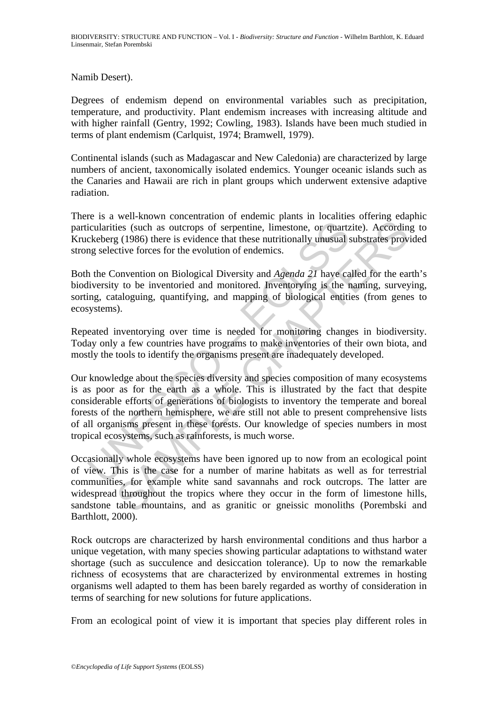Namib Desert).

Degrees of endemism depend on environmental variables such as precipitation, temperature, and productivity. Plant endemism increases with increasing altitude and with higher rainfall (Gentry, 1992; Cowling, 1983). Islands have been much studied in terms of plant endemism (Carlquist, 1974; Bramwell, 1979).

Continental islands (such as Madagascar and New Caledonia) are characterized by large numbers of ancient, taxonomically isolated endemics. Younger oceanic islands such as the Canaries and Hawaii are rich in plant groups which underwent extensive adaptive radiation.

There is a well-known concentration of endemic plants in localities offering edaphic particularities (such as outcrops of serpentine, limestone, or quartzite). According to Kruckeberg (1986) there is evidence that these nutritionally unusual substrates provided strong selective forces for the evolution of endemics.

Both the Convention on Biological Diversity and *Agenda 21* have called for the earth's biodiversity to be inventoried and monitored. Inventorying is the naming, surveying, sorting, cataloguing, quantifying, and mapping of biological entities (from genes to ecosystems).

Repeated inventorying over time is needed for monitoring changes in biodiversity. Today only a few countries have programs to make inventories of their own biota, and mostly the tools to identify the organisms present are inadequately developed.

icularities (such as outcrops of serpentine, limestone, or quartz<br>ckeberg (1986) there is evidence that these nutritionally unusual s<br>mg selective forces for the evolution of endemics.<br>The convention on Biological Diversit First standard controllation of variance in formation and responsibles (such as outcrops of serpentine, limestone, or quartzite). According (1986) there is evidence that these nutritionally unusual substrates prover to fr Our knowledge about the species diversity and species composition of many ecosystems is as poor as for the earth as a whole. This is illustrated by the fact that despite considerable efforts of generations of biologists to inventory the temperate and boreal forests of the northern hemisphere, we are still not able to present comprehensive lists of all organisms present in these forests. Our knowledge of species numbers in most tropical ecosystems, such as rainforests, is much worse.

Occasionally whole ecosystems have been ignored up to now from an ecological point of view. This is the case for a number of marine habitats as well as for terrestrial communities, for example white sand savannahs and rock outcrops. The latter are widespread throughout the tropics where they occur in the form of limestone hills, sandstone table mountains, and as granitic or gneissic monoliths (Porembski and Barthlott, 2000).

Rock outcrops are characterized by harsh environmental conditions and thus harbor a unique vegetation, with many species showing particular adaptations to withstand water shortage (such as succulence and desiccation tolerance). Up to now the remarkable richness of ecosystems that are characterized by environmental extremes in hosting organisms well adapted to them has been barely regarded as worthy of consideration in terms of searching for new solutions for future applications.

From an ecological point of view it is important that species play different roles in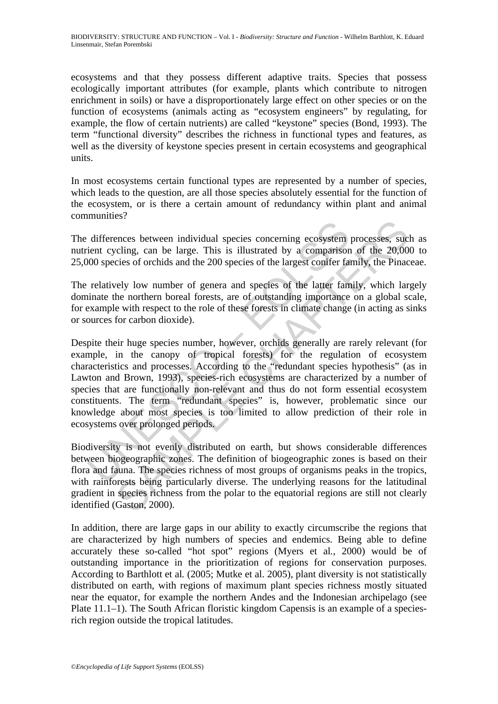ecosystems and that they possess different adaptive traits. Species that possess ecologically important attributes (for example, plants which contribute to nitrogen enrichment in soils) or have a disproportionately large effect on other species or on the function of ecosystems (animals acting as "ecosystem engineers" by regulating, for example, the flow of certain nutrients) are called "keystone" species (Bond, 1993). The term "functional diversity" describes the richness in functional types and features, as well as the diversity of keystone species present in certain ecosystems and geographical units.

In most ecosystems certain functional types are represented by a number of species, which leads to the question, are all those species absolutely essential for the function of the ecosystem, or is there a certain amount of redundancy within plant and animal communities?

The differences between individual species concerning ecosystem processes, such as nutrient cycling, can be large. This is illustrated by a comparison of the 20,000 to 25,000 species of orchids and the 200 species of the largest conifer family, the Pinaceae.

The relatively low number of genera and species of the latter family, which largely dominate the northern boreal forests, are of outstanding importance on a global scale, for example with respect to the role of these forests in climate change (in acting as sinks or sources for carbon dioxide).

differences between individual species concerning ecosystem<br>ient cycling, can be large. This is illustrated by a comparison<br>000 species of orchids and the 200 species of the largest conferr fat<br>relatively low number of gen Exercise between individual species concerning ecosystem processes, such<br>cling, can be large. This is illustrated by a comparison of the 20,00<br>cies of orchids and the 200 species of the largest conferr family, the Pinac<br>el Despite their huge species number, however, orchids generally are rarely relevant (for example, in the canopy of tropical forests) for the regulation of ecosystem characteristics and processes. According to the "redundant species hypothesis" (as in Lawton and Brown, 1993), species-rich ecosystems are characterized by a number of species that are functionally non-relevant and thus do not form essential ecosystem constituents. The term "redundant species" is, however, problematic since our knowledge about most species is too limited to allow prediction of their role in ecosystems over prolonged periods.

Biodiversity is not evenly distributed on earth, but shows considerable differences between biogeographic zones. The definition of biogeographic zones is based on their flora and fauna. The species richness of most groups of organisms peaks in the tropics, with rainforests being particularly diverse. The underlying reasons for the latitudinal gradient in species richness from the polar to the equatorial regions are still not clearly identified (Gaston, 2000).

In addition, there are large gaps in our ability to exactly circumscribe the regions that are characterized by high numbers of species and endemics. Being able to define accurately these so-called "hot spot" regions (Myers et al*.*, 2000) would be of outstanding importance in the prioritization of regions for conservation purposes. According to Barthlott et al*.* (2005; Mutke et al. 2005), plant diversity is not statistically distributed on earth, with regions of maximum plant species richness mostly situated near the equator, for example the northern Andes and the Indonesian archipelago (see Plate 11.1–1). The South African floristic kingdom Capensis is an example of a speciesrich region outside the tropical latitudes.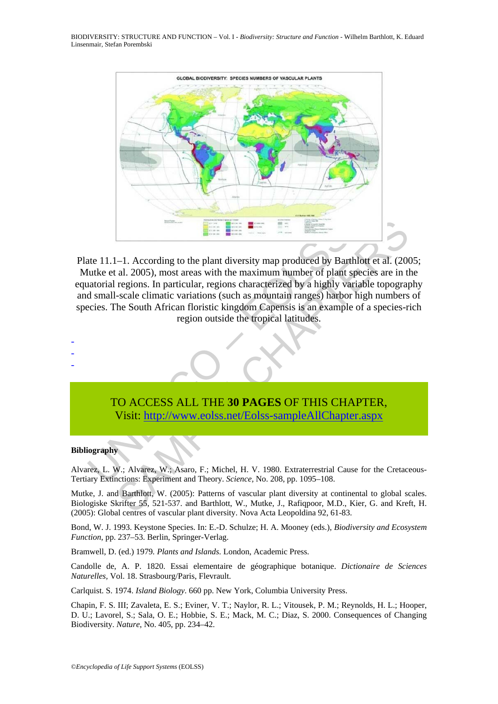BIODIVERSITY: STRUCTURE AND FUNCTION – Vol. I - *Biodiversity: Structure and Function* - Wilhelm Barthlott, K. Eduard Linsenmair, Stefan Porembski



ate 11.1–1. According to the plant diversity map produced by Bart<br>
utke et al. 2005), most areas with the maximum number of plant state<br>
utate at al. 2005), most areas with the maximum number of plant state<br>
d small-scale 1-1. According to the plant diversity map produced by Barthlott et al. (200<br>
1-1. According to the plant diversity map produced by Barthlott et al. (200<br>
1-acade climatic variations (such as mountain ranges) harbor high nu Plate 11.1–1. According to the plant diversity map produced by Barthlott et al. (2005; Mutke et al. 2005), most areas with the maximum number of plant species are in the equatorial regions. In particular, regions characterized by a highly variable topography and small-scale climatic variations (such as mountain ranges) harbor high numbers of species. The South African floristic kingdom Capensis is an example of a species-rich region outside the tropical latitudes.



#### **Bibliography**

- - -

Alvarez, L. W.; Alvarez, W.; Asaro, F.; Michel, H. V. 1980. Extraterrestrial Cause for the Cretaceous-Tertiary Extinctions: Experiment and Theory. *Science,* No. 208, pp. 1095–108.

Mutke, J. and Barthlott, W. (2005): Patterns of vascular plant diversity at continental to global scales. Biologiske Skrifter 55, 521-537. and Barthlott, W., Mutke, J., Rafiqpoor, M.D., Kier, G. and Kreft, H. (2005): Global centres of vascular plant diversity. Nova Acta Leopoldina 92, 61-83.

Bond, W. J. 1993. Keystone Species. In: E.-D. Schulze; H. A. Mooney (eds.), *Biodiversity and Ecosystem Function*, pp. 237–53. Berlin, Springer-Verlag.

Bramwell, D. (ed.) 1979*. Plants and Islands.* London, Academic Press.

Candolle de, A. P. 1820. Essai elementaire de géographique botanique. *Dictionaire de Sciences Naturelles,* Vol. 18. Strasbourg/Paris, Flevrault.

Carlquist. S. 1974. *Island Biology*. 660 pp. New York, Columbia University Press.

Chapin, F. S. III; Zavaleta, E. S.; Eviner, V. T.; Naylor, R. L.; Vitousek, P. M.; Reynolds, H. L.; Hooper, D. U.; Lavorel, S.; Sala, O. E.; Hobbie, S. E.; Mack, M. C.; Diaz, S. 2000. Consequences of Changing Biodiversity. *Nature*, No. 405, pp. 234–42.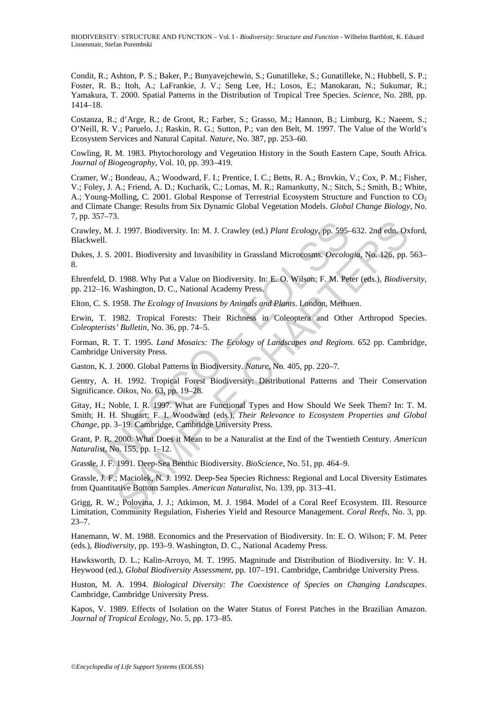Condit, R.; Ashton, P. S.; Baker, P.; Bunyavejchewin, S.; Gunatilleke, S.; Gunatilleke, N.; Hubbell, S. P.; Foster, R. B.; Itoh, A.; LaFrankie, J. V.; Seng Lee, H.; Losos, E.; Manokaran, N.; Sukumar, R.; Yamakura, T. 2000. Spatial Patterns in the Distribution of Tropical Tree Species. *Science*, No. 288, pp. 1414–18.

Costanza, R.; d'Arge, R.; de Groot, R.; Farber, S.; Grasso, M.; Hannon, B.; Limburg, K.; Naeem, S.; O'Neill, R. V.; Paruelo, J.; Raskin, R. G.; Sutton, P.; van den Belt, M. 1997. The Value of the World's Ecosystem Services and Natural Capital. *Nature*, No. 387, pp. 253–60.

Cowling, R. M. 1983. Phytochorology and Vegetation History in the South Eastern Cape, South Africa*. Journal of Biogeography*, Vol. 10, pp. 393–419.

Cramer, W.; Bondeau, A.; Woodward, F. I.; Prentice, I. C.; Betts, R. A.; Brovkin, V.; Cox, P. M.; Fisher, V.; Foley, J. A.; Friend, A. D.; Kucharik, C.; Lomas, M. R.; Ramankutty, N.; Sitch, S.; Smith, B.; White, A.; Young-Molling, C. 2001. Global Response of Terrestrial Ecosystem Structure and Function to CO<sub>2</sub> and Climate Change: Results from Six Dynamic Global Vegetation Models. *Global Change Biology*, No. 7, pp. 357–73.

Crawley, M. J. 1997. Biodiversity. In: M. J. Crawley (ed.) *Plant Ecology*, pp. 595–632. 2nd edn. Oxford, Blackwell.

Dukes, J. S. 2001. Biodiversity and Invasibility in Grassland Microcosms. *Oecologia*, No. 126, pp. 563– 8.

Ehrenfeld, D. 1988. Why Put a Value on Biodiversity. In: E. O. Wilson; F. M. Peter (eds.), *Biodiversity,* pp. 212–16. Washington, D. C., National Academy Press.

Elton, C. S. 1958. *The Ecology of Invasions by Animals and Plants*. London, Methuen.

Erwin, T. 1982. Tropical Forests: Their Richness in Coleoptera and Other Arthropod Species. *Coleopterists' Bulletin*, No. 36, pp. 74–5.

Forman, R. T. T. 1995. *Land Mosaics: The Ecology of Landscapes and Regions*. 652 pp. Cambridge, Cambridge University Press.

Gaston, K. J. 2000. Global Patterns in Biodiversity. *Nature*, No. 405, pp. 220–7.

Gentry, A. H. 1992. Tropical Forest Biodiversity: Distributional Patterns and Their Conservation Significance. *Oikos,* No. 63, pp. 19–28.

vley, M. J. 1997. Biodiversity. In: M. J. Crawley (ed.) *Plant Ecology*, pp. 595-<br>
kwell.<br>
S., J. S. 2001. Biodiversity and Invasibility in Grassland Microcosms. Oecology.<br>
Field, D. 1988. Why Put a Value on Biodiversity. 1997. Biodiversity. In: M. J. Crawley (ed.) *Plant Ecology*, pp. 595–632. 2nd edn. Ox<br>2001. Biodiversity and Invasibility in Grassland Microcosms. *Oecologia*, No. 126, pp.<br>1988. Why Put a Value on Biodiversity. In: E. O. Gitay, H.; Noble, I. R. 1997. What are Functional Types and How Should We Seek Them? In: T. M. Smith; H. H. Shugart; F. I. Woodward (eds.), *Their Relevance to Ecosystem Properties and Global Change*, pp. 3–19. Cambridge, Cambridge University Press.

Grant, P. R. 2000. What Does it Mean to be a Naturalist at the End of the Twentieth Century. *American Naturalist,* No. 155, pp. 1–12.

Grassle, J. F. 1991. Deep-Sea Benthic Biodiversity. *BioScience*, No. 51, pp. 464–9.

Grassle, J. F.; Maciolek, N. J. 1992. Deep-Sea Species Richness: Regional and Local Diversity Estimates from Quantitative Bottom Samples. *American Naturalist*, No. 139, pp. 313–41.

Grigg, R. W.; Polovina, J. J.; Atkinson, M. J. 1984. Model of a Coral Reef Ecosystem. III. Resource Limitation, Community Regulation, Fisheries Yield and Resource Management. *Coral Reefs*, No. 3, pp. 23–7.

Hanemann, W. M. 1988. Economics and the Preservation of Biodiversity. In: E. O. Wilson; F. M. Peter (eds.), *Biodiversity*, pp. 193–9. Washington, D. C., National Academy Press.

Hawksworth, D. L.; Kalin-Arroyo, M. T. 1995. Magnitude and Distribution of Biodiversity. In: V. H. Heywood (ed.), *Global Biodiversity Assessment,* pp. 107–191. Cambridge, Cambridge University Press.

Huston, M. A. 1994. *Biological Diversity: The Coexistence of Species on Changing Landscapes*. Cambridge, Cambridge University Press.

Kapos, V. 1989. Effects of Isolation on the Water Status of Forest Patches in the Brazilian Amazon. *Journal of Tropical Ecology,* No. 5, pp. 173–85.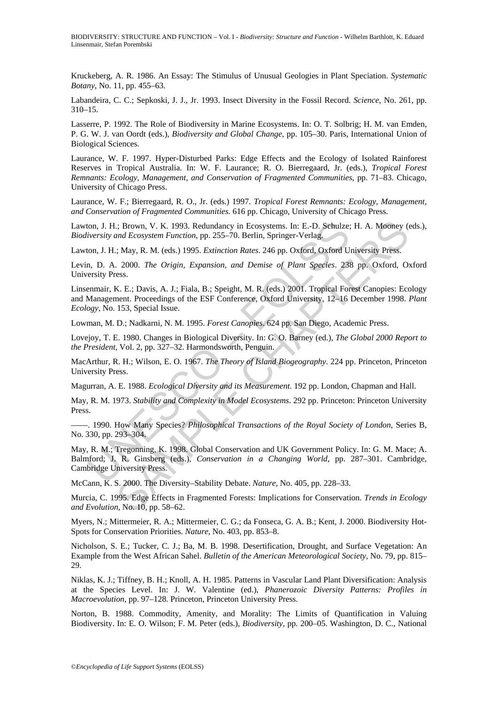Kruckeberg, A. R. 1986. An Essay: The Stimulus of Unusual Geologies in Plant Speciation. *Systematic Botany*, No. 11, pp. 455–63.

Labandeira, C. C.; Sepkoski, J. J., Jr. 1993. Insect Diversity in the Fossil Record. *Science*, No. 261, pp. 310–15.

Lasserre, P. 1992. The Role of Biodiversity in Marine Ecosystems. In: O. T. Solbrig; H. M. van Emden, P. G. W. J. van Oordt (eds.), *Biodiversity and Global Change*, pp. 105–30. Paris, International Union of Biological Sciences.

Laurance, W. F. 1997. Hyper-Disturbed Parks: Edge Effects and the Ecology of Isolated Rainforest Reserves in Tropical Australia. In: W. F. Laurance; R. O. Bierregaard, Jr. (eds.), *Tropical Forest Remnants: Ecology, Management, and Conservation of Fragmented Communities*, pp. 71–83. Chicago, University of Chicago Press.

Laurance, W. F.; Bierregaard, R. O., Jr. (eds.) 1997. *Tropical Forest Remnants: Ecology, Management, and Conservation of Fragmented Communities.* 616 pp. Chicago, University of Chicago Press.

Lawton, J. H.; Brown, V. K. 1993. Redundancy in Ecosystems. In: E.-D. Schulze; H. A. Mooney (eds.), *Biodiversity and Ecosystem Function*, pp. 255–70. Berlin, Springer-Verlag.

Lawton, J. H.; May, R. M. (eds.) 1995. *Extinction Rates*. 246 pp. Oxford, Oxford University Press.

Levin, D. A. 2000. *The Origin, Expansion, and Demise of Plant Species*. 238 pp. Oxford, Oxford University Press.

Linsenmair, K. E.; Davis, A. J.; Fiala, B.; Speight, M. R. (eds.) 2001. Tropical Forest Canopies: Ecology and Management. Proceedings of the ESF Conference, Oxford University, 12–16 December 1998. *Plant Ecology*, No. 153, Special Issue.

Lowman, M. D.; Nadkarni, N. M. 1995. *Forest Canopies*. 624 pp. San Diego, Academic Press.

Lovejoy, T. E. 1980. Changes in Biological Diversity. In: G. O. Barney (ed.), *The Global 2000 Report to the President*, Vol. 2, pp. 327–32. Harmondsworth, Penguin.

MacArthur, R. H.; Wilson, E. O. 1967. *The Theory of Island Biogeography*. 224 pp. Princeton, Princeton University Press.

Magurran, A. E. 1988. *Ecological Diversity and its Measurement*. 192 pp. London, Chapman and Hall.

May, R. M. 1973. *Stability and Complexity in Model Ecosystems*. 292 pp. Princeton: Princeton University Press.

––––. 1990. How Many Species? *Philosophical Transactions of the Royal Society of London*, Series B, No. 330, pp. 293–304.

ton, J. H.; Brown, V. K. 1993. Redundancy in Ecosystems. In: E.-D. Schulze;<br>
iversity and Ecosystem Function, pp. 255–70. Berlin, Springer-Verlag,<br>
ton, J. H.; May, R. M. (eds.) 1995. Extinction Rates. 246 pp. Oxford, Oxfo .; Brown, V. K. 1993. Redundancy in Ecosystems. In: E.-D. Schulze; H. A. Mooney (*and Ecosystem Function*, pp. 255–70. Berlin, Springer-Verlag.<br>
: May, R. M. (eds.) 1995. *Extinction Rates*. 246 pp. Oxford, Oxford Universi May, R. M.; Tregonning, K. 1998. Global Conservation and UK Government Policy. In: G. M. Mace; A. Balmford; J. R. Ginsberg (eds.), *Conservation in a Changing World*, pp. 287–301. Cambridge, Cambridge University Press.

McCann, K. S. 2000. The Diversity–Stability Debate. *Nature*, No. 405, pp. 228–33.

Murcia, C. 1995. Edge Effects in Fragmented Forests: Implications for Conservation. *Trends in Ecology and Evolution*, No. 10, pp. 58–62.

Myers, N.; Mittermeier, R. A.; Mittermeier, C. G.; da Fonseca, G. A. B.; Kent, J. 2000. Biodiversity Hot-Spots for Conservation Priorities. *Nature*, No. 403, pp. 853–8.

Nicholson, S. E.; Tucker, C. J.; Ba, M. B. 1998. Desertification, Drought, and Surface Vegetation: An Example from the West African Sahel. *Bulletin of the American Meteorological Society*, No. 79, pp. 815– 29.

Niklas, K. J.; Tiffney, B. H.; Knoll, A. H. 1985. Patterns in Vascular Land Plant Diversification: Analysis at the Species Level. In: J. W. Valentine (ed.), *Phanerozoic Diversity Patterns: Profiles in Macroevolution*, pp. 97–128. Princeton, Princeton University Press.

Norton, B. 1988. Commodity, Amenity, and Morality: The Limits of Quantification in Valuing Biodiversity. In: E. O. Wilson; F. M. Peter (eds.), *Biodiversity*, pp. 200–05. Washington, D. C., National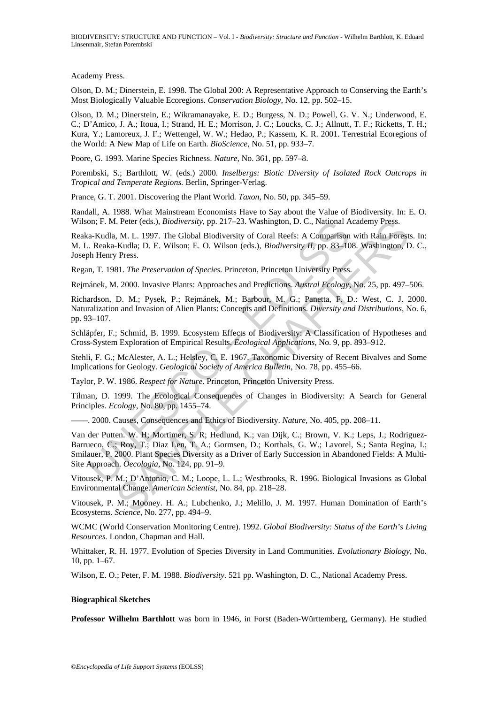Academy Press.

Olson, D. M.; Dinerstein, E. 1998. The Global 200: A Representative Approach to Conserving the Earth's Most Biologically Valuable Ecoregions. *Conservation Biology,* No. 12, pp. 502–15.

Olson, D. M.; Dinerstein, E.; Wikramanayake, E. D.; Burgess, N. D.; Powell, G. V. N.; Underwood, E. C.; D'Amico, J. A.; Itoua, I.; Strand, H. E.; Morrison, J. C.; Loucks, C. J.; Allnutt, T. F.; Ricketts, T. H.; Kura, Y.; Lamoreux, J. F.; Wettengel, W. W.; Hedao, P.; Kassem, K. R. 2001. Terrestrial Ecoregions of the World: A New Map of Life on Earth. *BioScience*, No. 51, pp. 933–7.

Poore, G. 1993. Marine Species Richness. *Nature*, No. 361, pp. 597–8.

Porembski, S.; Barthlott, W. (eds.) 2000. *Inselbergs: Biotic Diversity of Isolated Rock Outcrops in Tropical and Temperate Regions.* Berlin, Springer-Verlag.

Prance, G. T. 2001. Discovering the Plant World*. Taxon*, No. 50, pp. 345–59.

Randall, A. 1988. What Mainstream Economists Have to Say about the Value of Biodiversity. In: E. O. Wilson; F. M. Peter (eds.), *Biodiversity*, pp. 217–23. Washington, D. C., National Academy Press.

Reaka-Kudla, M. L. 1997. The Global Biodiversity of Coral Reefs: A Comparison with Rain Forests. In: M. L. Reaka-Kudla; D. E. Wilson; E. O. Wilson (eds.), *Biodiversity II,* pp. 83–108. Washington, D. C., Joseph Henry Press.

Regan, T. 1981. *The Preservation of Species.* Princeton, Princeton University Press.

Rejmánek, M. 2000. Invasive Plants: Approaches and Predictions. *Austral Ecology*, No. 25, pp. 497–506.

Richardson, D. M.; Pysek, P.; Rejmánek, M.; Barbour, M. G.; Panetta, F. D.: West, C. J. 2000. Naturalization and Invasion of Alien Plants: Concepts and Definitions. *Diversity and Distributions,* No. 6, pp. 93–107.

Schläpfer, F.; Schmid, B. 1999. Ecosystem Effects of Biodiversity: A Classification of Hypotheses and Cross-System Exploration of Empirical Results. *Ecological Applications*, No. 9, pp. 893–912.

Stehli, F. G.; McAlester, A. L.; Helsley, C. E. 1967. Taxonomic Diversity of Recent Bivalves and Some Implications for Geology. *Geological Society of America Bulletin*, No. 78, pp. 455–66.

Taylor, P. W. 1986. *Respect for Nature*. Princeton, Princeton University Press.

Tilman, D. 1999. The Ecological Consequences of Changes in Biodiversity: A Search for General Principles. *Ecology*, No. 80, pp. 1455–74.

––––. 2000. Causes, Consequences and Ethics of Biodiversity. *Nature,* No. 405, pp. 208–11.

on; F. M. Peter (eds.), *Biodiversity*, pp. 217–23. Washington, D. C., National A<br>a-Kudla, M. L. 1997. The Global Biodiversity of Coral Reefs: A Comparison<br>
... Reaka-Kudla; D. E. Wilson; E. O. Wilson (eds.), *Biodiversity* 1. Peter (eds.), *Biodiversity*, pp. 217–23. Washington, D. C., National Academy Press.<br>
M. L. 1997. The Global Biodiversity of Coral Reefs: A Comparison with Rain Forest<br>
Kudla: D. E. Wilson; E. O. Wilson (eds.), *Biodive* Van der Putten. W. H; Mortimer, S. R; Hedlund, K.; van Dijk, C.; Brown, V. K.; Leps, J.; Rodriguez-Barrueco, C.; Roy, T.; Diaz Len, T. A.; Gormsen, D.; Korthals, G. W.; Lavorel, S.; Santa Regina, I.; Smilauer, P. 2000. Plant Species Diversity as a Driver of Early Succession in Abandoned Fields: A Multi-Site Approach. *Oecologia,* No. 124, pp. 91–9.

Vitousek, P. M.; D'Antonio, C. M.; Loope, L. L.; Westbrooks, R. 1996. Biological Invasions as Global Environmental Change. *American Scientist,* No. 84, pp. 218–28.

Vitousek, P. M.; Mooney. H. A.; Lubchenko, J.; Melillo, J. M. 1997. Human Domination of Earth's Ecosystems. *Science*, No. 277, pp. 494–9.

WCMC (World Conservation Monitoring Centre). 1992. *Global Biodiversity: Status of the Earth's Living Resources.* London, Chapman and Hall.

Whittaker, R. H. 1977. Evolution of Species Diversity in Land Communities. *Evolutionary Biology*, No. 10, pp. 1–67.

Wilson, E. O.; Peter, F. M. 1988. *Biodiversity*. 521 pp. Washington, D. C., National Academy Press.

#### **Biographical Sketches**

**Professor Wilhelm Barthlott** was born in 1946, in Forst (Baden-Württemberg, Germany). He studied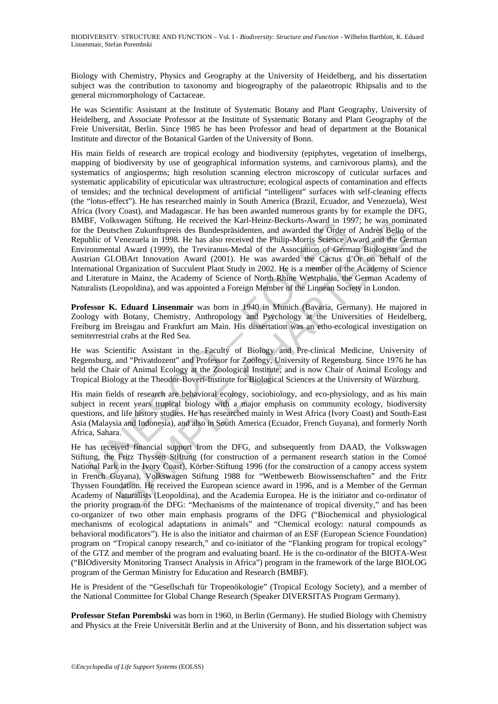Biology with Chemistry, Physics and Geography at the University of Heidelberg, and his dissertation subject was the contribution to taxonomy and biogeography of the palaeotropic Rhipsalis and to the general micromorphology of Cactaceae.

He was Scientific Assistant at the Institute of Systematic Botany and Plant Geography, University of Heidelberg, and Associate Professor at the Institute of Systematic Botany and Plant Geography of the Freie Universität, Berlin. Since 1985 he has been Professor and head of department at the Botanical Institute and director of the Botanical Garden of the University of Bonn.

FF, Volkswagen Sitttung. He received the Karl-Henz-Beckurts-Award in 191<br>
the Deutschen Zukunftspreis des Bundespräsidenten, and awarded the Order of<br>
be Deutschen Zukunftspreis des Bundespräsidenten, and awarded the Order swagen Sittlung. He received the Karl-Hein-Hein-Heickuts-Award in 1997; he was nominally and a Award Hein-Hein-Hein-Heickuts-Award 1997, the Theorem Zukunffspresi des Bundespräsidenten, and awarded the Order Award and the His main fields of research are tropical ecology and biodiversity (epiphytes, vegetation of inselbergs, mapping of biodiversity by use of geographical information systems, and carnivorous plants), and the systematics of angiosperms; high resolution scanning electron microscopy of cuticular surfaces and systematic applicability of epicuticular wax ultrastructure; ecological aspects of contamination and effects of tensides; and the technical development of artificial "intelligent" surfaces with self-cleaning effects (the "lotus-effect"). He has researched mainly in South America (Brazil, Ecuador, and Venezuela), West Africa (Ivory Coast), and Madagascar. He has been awarded numerous grants by for example the DFG, BMBF, Volkswagen Stiftung. He received the Karl-Heinz-Beckurts-Award in 1997; he was nominated for the Deutschen Zukunftspreis des Bundespräsidenten, and awarded the Order of Andrès Bello of the Republic of Venezuela in 1998. He has also received the Philip-Morris Science Award and the German Environmental Award (1999), the Treviranus-Medal of the Association of German Biologists and the Austrian GLOBArt Innovation Award (2001). He was awarded the Cactus d'Or on behalf of the International Organization of Succulent Plant Study in 2002. He is a member of the Academy of Science and Literature in Mainz, the Academy of Science of North Rhine Westphalia, the German Academy of Naturalists (Leopoldina), and was appointed a Foreign Member of the Linnean Society in London.

**Professor K. Eduard Linsenmair** was born in 1940 in Munich (Bavaria, Germany). He majored in Zoology with Botany, Chemistry, Anthropology and Psychology at the Universities of Heidelberg, Freiburg im Breisgau and Frankfurt am Main. His dissertation was an etho-ecological investigation on semiterrestrial crabs at the Red Sea.

He was Scientific Assistant in the Faculty of Biology and Pre-clinical Medicine, University of Regensburg, and "Privatdozent" and Professor for Zoology, University of Regensburg. Since 1976 he has held the Chair of Animal Ecology at the Zoological Institute; and is now Chair of Animal Ecology and Tropical Biology at the Theodor-Boveri-Institute for Biological Sciences at the University of Würzburg.

His main fields of research are behavioral ecology, sociobiology, and eco-physiology, and as his main subject in recent years tropical biology with a major emphasis on community ecology, biodiversity questions, and life history studies. He has researched mainly in West Africa (Ivory Coast) and South-East Asia (Malaysia and Indonesia), and also in South America (Ecuador, French Guyana), and formerly North Africa, Sahara.

He has received financial support from the DFG, and subsequently from DAAD, the Volkswagen Stiftung, the Fritz Thyssen Stiftung (for construction of a permanent research station in the Comoé National Park in the Ivory Coast), Körber-Stiftung 1996 (for the construction of a canopy access system in French Guyana), Volkswagen Stiftung 1988 for "Wettbewerb Biowissenschaften" and the Fritz Thyssen Foundation. He received the European science award in 1996, and is a Member of the German Academy of Naturalists (Leopoldina), and the Academia Europea. He is the initiator and co-ordinator of the priority program of the DFG: "Mechanisms of the maintenance of tropical diversity," and has been co-organizer of two other main emphasis programs of the DFG ("Biochemical and physiological mechanisms of ecological adaptations in animals" and "Chemical ecology: natural compounds as behavioral modificators"). He is also the initiator and chairman of an ESF (European Science Foundation) program on "Tropical canopy research," and co-initiator of the "Flanking program for tropical ecology" of the GTZ and member of the program and evaluating board. He is the co-ordinator of the BIOTA-West ("BIOdiversity Monitoring Transect Analysis in Africa") program in the framework of the large BIOLOG program of the German Ministry for Education and Research (BMBF).

He is President of the "Gesellschaft für Tropenökologie" (Tropical Ecology Society), and a member of the National Committee for Global Change Research (Speaker DIVERSITAS Program Germany).

**Professor Stefan Porembski** was born in 1960, in Berlin (Germany). He studied Biology with Chemistry and Physics at the Freie Universität Berlin and at the University of Bonn, and his dissertation subject was